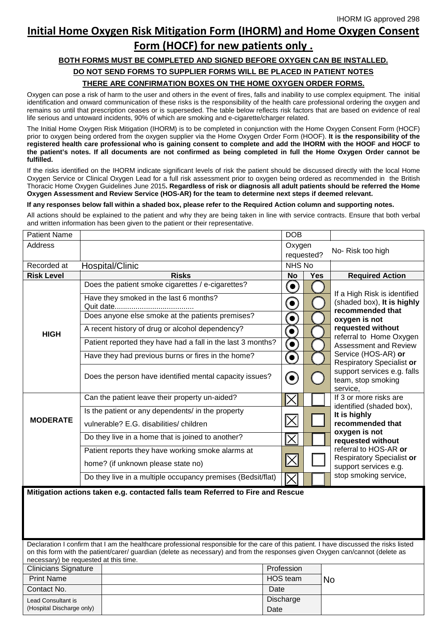## **Initial Home Oxygen Risk Mitigation Form (IHORM) and Home Oxygen Consent Form (HOCF) for new patients only .**

## **BOTH FORMS MUST BE COMPLETED AND SIGNED BEFORE OXYGEN CAN BE INSTALLED. DO NOT SEND FORMS TO SUPPLIER FORMS WILL BE PLACED IN PATIENT NOTES THERE ARE CONFIRMATION BOXES ON THE HOME OXYGEN ORDER FORMS.**

Oxygen can pose a risk of harm to the user and others in the event of fires, falls and inability to use complex equipment. The initial identification and onward communication of these risks is the responsibility of the health care professional ordering the oxygen and remains so until that prescription ceases or is superseded. The table below reflects risk factors that are based on evidence of real life serious and untoward incidents, 90% of which are smoking and e-cigarette/charger related.

The Initial Home Oxygen Risk Mitigation (IHORM) is to be completed in conjunction with the Home Oxygen Consent Form (HOCF) prior to oxygen being ordered from the oxygen supplier via the Home Oxygen Order Form (HOOF). **It is the responsibility of the registered health care professional who is gaining consent to complete and add the IHORM with the HOOF and HOCF to the patient's notes. If all documents are not confirmed as being completed in full the Home Oxygen Order cannot be fulfilled.** 

If the risks identified on the IHORM indicate significant levels of risk the patient should be discussed directly with the local Home Oxygen Service or Clinical Oxygen Lead for a full risk assessment prior to oxygen being ordered as recommended in the British Thoracic Home Oxygen Guidelines June 2015**. Regardless of risk or diagnosis all adult patients should be referred the Home Oxygen Assessment and Review Service (HOS-AR) for the team to determine next steps if deemed relevant.**

## **If any responses below fall within a shaded box, please refer to the Required Action column and supporting notes.**

All actions should be explained to the patient and why they are being taken in line with service contracts. Ensure that both verbal and written information has been given to the patient or their representative.

| <b>Patient Name</b> |                                                                                             | <b>DOB</b>               |            |                                                               |
|---------------------|---------------------------------------------------------------------------------------------|--------------------------|------------|---------------------------------------------------------------|
| <b>Address</b>      |                                                                                             | Oxygen                   | requested? | No-Risk too high                                              |
| Recorded at         | Hospital/Clinic                                                                             | NHS No                   |            |                                                               |
| <b>Risk Level</b>   | <b>Risks</b>                                                                                | <b>No</b>                | <b>Yes</b> | <b>Required Action</b>                                        |
|                     | Does the patient smoke cigarettes / e-cigarettes?<br>Have they smoked in the last 6 months? | $\left( \bullet \right)$ |            | If a High Risk is identified                                  |
|                     |                                                                                             | C                        |            | (shaded box), It is highly                                    |
|                     | Does anyone else smoke at the patients premises?                                            | $\bullet$                |            | recommended that<br>oxygen is not                             |
| <b>HIGH</b>         | A recent history of drug or alcohol dependency?                                             | $\left( \bullet \right)$ |            | requested without<br>referral to Home Oxygen                  |
|                     | Patient reported they have had a fall in the last 3 months?                                 | $\bullet$                |            | Assessment and Review                                         |
|                     | Have they had previous burns or fires in the home?                                          | $\left( \bullet \right)$ |            | Service (HOS-AR) or<br>Respiratory Specialist or              |
|                     | Does the person have identified mental capacity issues?                                     | $\mathbf{\Theta}$        |            | support services e.g. falls<br>team, stop smoking<br>service, |
|                     | Can the patient leave their property un-aided?                                              | $\bm{\mathsf{X}}$        |            | If 3 or more risks are<br>identified (shaded box),            |
|                     | Is the patient or any dependents/ in the property                                           |                          |            | It is highly                                                  |
| <b>MODERATE</b>     | vulnerable? E.G. disabilities/ children                                                     | $ \hbox{\bf X} $         |            | recommended that<br>oxygen is not                             |
|                     | Do they live in a home that is joined to another?                                           | $ \overline{\times} $    |            | requested without                                             |
|                     | Patient reports they have working smoke alarms at                                           |                          |            | referral to HOS-AR or<br>Respiratory Specialist or            |
|                     | home? (if unknown please state no)                                                          | $ \!\! \times\!\! $      |            | support services e.g.                                         |
|                     | Do they live in a multiple occupancy premises (Bedsit/flat)                                 | IХ                       |            | stop smoking service,                                         |
|                     | Mitigation actions taken e.g. contacted falls team Referred to Fire and Rescue              |                          |            |                                                               |
|                     |                                                                                             |                          |            |                                                               |
|                     |                                                                                             |                          |            |                                                               |
|                     |                                                                                             |                          |            |                                                               |

Declaration I confirm that I am the healthcare professional responsible for the care of this patient. I have discussed the risks listed on this form with the patient/carer/ guardian (delete as necessary) and from the responses given Oxygen can/cannot (delete as necessary) be requested at this time.

| <b>Clinicians Signature</b> | Profession |    |
|-----------------------------|------------|----|
| <b>Print Name</b>           | HOS team   | No |
| Contact No.                 | Date       |    |
| Lead Consultant is          | Discharge  |    |
| (Hospital Discharge only)   | Date       |    |